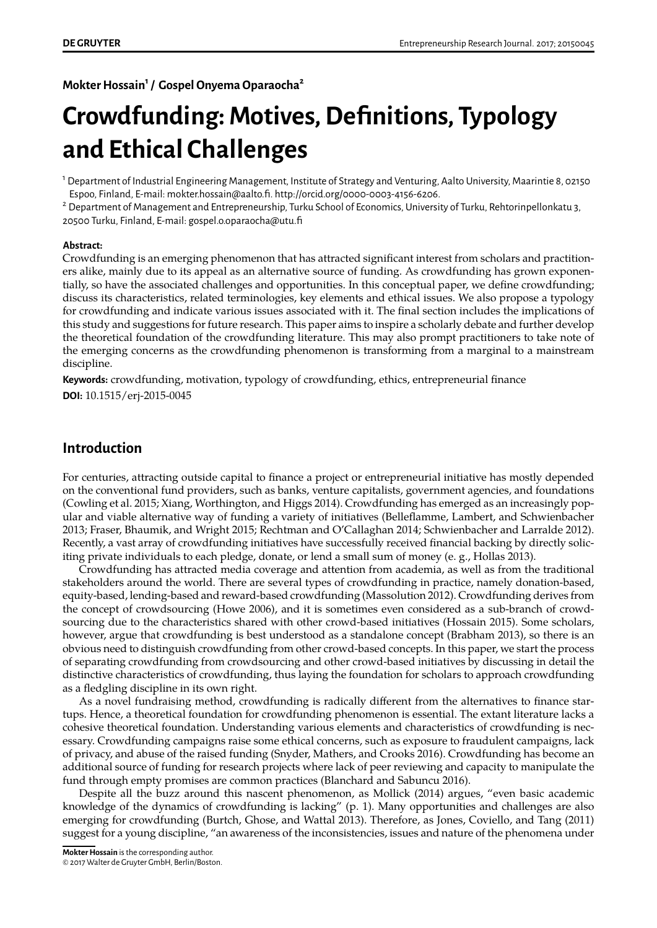**Mokter Hossain<sup>1</sup> / Gospel Onyema Oparaocha<sup>2</sup>**

# **Crowdfunding: Motives, Definitions, Typology and Ethical Challenges**

<sup>1</sup> Department of Industrial Engineering Management, Institute of Strategy and Venturing, Aalto University, Maarintie 8, 02150 Espoo, Finland, E-mail: mokter.hossain@aalto.fi. http://orcid.org/0000-0003-4156-6206.

<sup>2</sup> Department of Management and Entrepreneurship, Turku School of Economics, University of Turku, Rehtorinpellonkatu 3, 20500 Turku, Finland, E-mail: gospel.o.oparaocha@utu.fi

## **[A](#page-13-0)bstract:**

Crowdfunding is an emerging phenomenon that has attracted significant interest from scholars and practitioners alike, mainly due to its appeal as an alternative source of funding. As crowdfunding has grown exponentially, so have the associated challenges and opportunities. In this conceptual paper, we define crowdfunding; discuss its characteristics, related terminologies, key elements and ethical issues. We also propose a typology for crowdfunding and indicate various issues associated with it. The final section includes the implications of this study and suggestions for future research. This paper aims to inspire a scholarly debate and further develop the theoretical foundation of the crowdfunding literature. This may also prompt practitioners to take note of the emerging concerns as the crowdfunding phenomenon is transforming from a marginal to a mainstream discipline.

**Keywords:** crowdfunding, motivation, typology of crowdfunding, ethics, entrepreneurial finance

**DOI:** 10.1515/erj-2015-0045

# **Introduction**

For centuries, attracting outside capital to finance a project or entrepreneurial initiative has mostly depended on the conventional fund providers, such as banks, venture capitalists, government agencies, and foundations (Cowling et al. 2015; Xiang, Worthington, and Higgs 2014). Crowdfunding has emerged as an increasingly popular and viable alternative way of funding a variety of initiatives (Belleflamme, Lambert, and Schwienbacher 2013; Fraser, Bhaumik, and Wright 2015; Rechtman and O'Callaghan 2014; Schwienbacher and Larralde 2012). Recently, a vast array of crowdfunding initiatives have successfully received financial backing by directly soliciting private individuals to each pledge, donate, or lend a small sum of money (e. g., Hollas 2013).

Crowdfunding has attracted media coverage and attention from academia, as well as from the traditional stakeholders around the world. There are several types of crowdfunding in practice, namely donation-based, equity-based, lending-based and reward-based crowdfunding (Massolution 2012). Crowdfunding derives from the concept of crowdsourcing (Howe 2006), and it is sometimes even considered as a sub-branch of crowdsourcing due to the characteristics shared with other crowd-based initiatives (Hossain 2015). Some scholars, however, argue that crowdfunding is best understood as a standalone concept (Brabham 2013), so there is an obvious need to distinguish crowdfunding from other crowd-based concepts. In this paper, we start the process of separating crowdfunding from crowdsourcing and other crowd-based initiatives by discussing in detail the distinctive characteristics of crowdfunding, thus laying the foundation for scholars to approach crowdfunding as a fledgling discipline in its own right.

As a novel fundraising method, crowdfunding is radically different from the alternatives to finance startups. Hence, a theoretical foundation for crowdfunding phenomenon is essential. The extant literature lacks a cohesive theoretical foundation. Understanding various elements and characteristics of crowdfunding is necessary. Crowdfunding campaigns raise some ethical concerns, such as exposure to fraudulent campaigns, lack of privacy, and abuse of the raised funding (Snyder, Mathers, and Crooks 2016). Crowdfunding has become an additional source of funding for research projects where lack of peer reviewing and capacity to manipulate the fund through empty promises are common practices (Blanchard and Sabuncu 2016).

Despite all the buzz around this nascent phenomenon, as Mollick (2014) argues, "even basic academic knowledge of the dynamics of crowdfunding is lacking" (p. 1). Many opportunities and challenges are also emerging for crowdfunding (Burtch, Ghose, and Wattal 2013). Therefore, as Jones, Coviello, and Tang (2011) suggest for a young discipline, "an awareness of the inconsistencies, issues and nature of the phenomena under

**Mokter Hossain** is the corresponding author. © 2017 Walter de Gruyter GmbH, Berlin/Boston.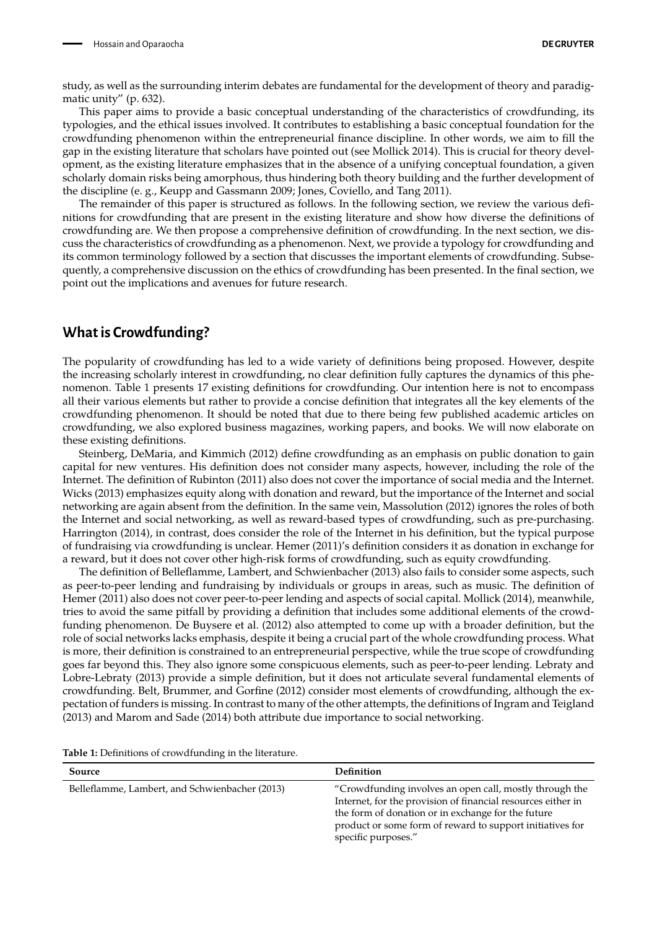study, as well as the surrounding interim debates are fundamental for the development of theory and paradigmatic unity" (p. 632).

This paper aims to provide a basic conceptual understanding of the characteristics of crowdfunding, its typologies, and the ethical issues involved. It contributes to establishing a basic conceptual foundation for the crowdfunding phenomenon within the entrepreneurial finance discipline. In other words, we aim to fill the gap in the existing literature that scholars have pointed out (see Mollick 2014). This is crucial for theory development, as the existing literature emphasizes that in the absence of a unifying conceptual foundation, a given scholarly domain risks being amorphous, thus hindering both theory building and the further development of the discipline (e. g., Keupp and Gassmann 2009; Jones, Coviello, and Tang 2011).

The remainder of this paper is structured as follows. In the following section, we review the various definitions for crowdfunding that are present in the existing literature and show how diverse the definitions of crowdfunding are. We then propose a comprehensive definition of crowdfunding. In the next section, we discuss the characteristics of crowdfunding as a phenomenon. Next, we provide a typology for crowdfunding and its common terminology followed by a section that discusses the important elements of crowdfunding. Subsequently, a comprehensive discussion on the ethics of crowdfunding has been presented. In the final section, we point out the implications and avenues for future research.

# **What is Crowdfunding?**

The popularity of crowdfunding has led to a wide variety of definitions being proposed. However, despite the increasing scholarly interest in crowdfunding, no clear definition fully captures the dynamics of this phenomenon. Table 1 presents 17 existing definitions for crowdfunding. Our intention here is not to encompass all their various elements but rather to provide a concise definition that integrates all the key elements of the crowdfunding phenomenon. It should be noted that due to there being few published academic articles on crowdfunding, we also explored business magazines, working papers, and books. We will now elaborate on these existing definitions.

Steinberg, DeMaria, and Kimmich (2012) define crowdfunding as an emphasis on public donation to gain capital for new ventures. His definition does not consider many aspects, however, including the role of the Internet. The definition of Rubinton (2011) also does not cover the importance of social media and the Internet. Wicks (2013) emphasizes equity along with donation and reward, but the importance of the Internet and social networking are again absent from the definition. In the same vein, Massolution (2012) ignores the roles of both the Internet and social networking, as well as reward-based types of crowdfunding, such as pre-purchasing. Harrington (2014), in contrast, does consider the role of the Internet in his definition, but the typical purpose of fundraising via crowdfunding is unclear. Hemer (2011)'s definition considers it as donation in exchange for a reward, but it does not cover other high-risk forms of crowdfunding, such as equity crowdfunding.

The definition of Belleflamme, Lambert, and Schwienbacher (2013) also fails to consider some aspects, such as peer-to-peer lending and fundraising by individuals or groups in areas, such as music. The definition of Hemer (2011) also does not cover peer-to-peer lending and aspects of social capital. Mollick (2014), meanwhile, tries to avoid the same pitfall by providing a definition that includes some additional elements of the crowdfunding phenomenon. De Buysere et al. (2012) also attempted to come up with a broader definition, but the role of social networks lacks emphasis, despite it being a crucial part of the whole crowdfunding process. What is more, their definition is constrained to an entrepreneurial perspective, while the true scope of crowdfunding goes far beyond this. They also ignore some conspicuous elements, such as peer-to-peer lending. Lebraty and Lobre-Lebraty (2013) provide a simple definition, but it does not articulate several fundamental elements of crowdfunding. Belt, Brummer, and Gorfine (2012) consider most elements of crowdfunding, although the expectation of funders is missing. In contrast to many of the other attempts, the definitions of Ingram and Teigland (2013) and Marom and Sade (2014) both attribute due importance to social networking.

**Table 1:** Definitions of crowdfunding in the literature.

| Source                                         | Definition                                                                                                                                                                                                                                                        |
|------------------------------------------------|-------------------------------------------------------------------------------------------------------------------------------------------------------------------------------------------------------------------------------------------------------------------|
| Belleflamme, Lambert, and Schwienbacher (2013) | "Crowdfunding involves an open call, mostly through the<br>Internet, for the provision of financial resources either in<br>the form of donation or in exchange for the future<br>product or some form of reward to support initiatives for<br>specific purposes." |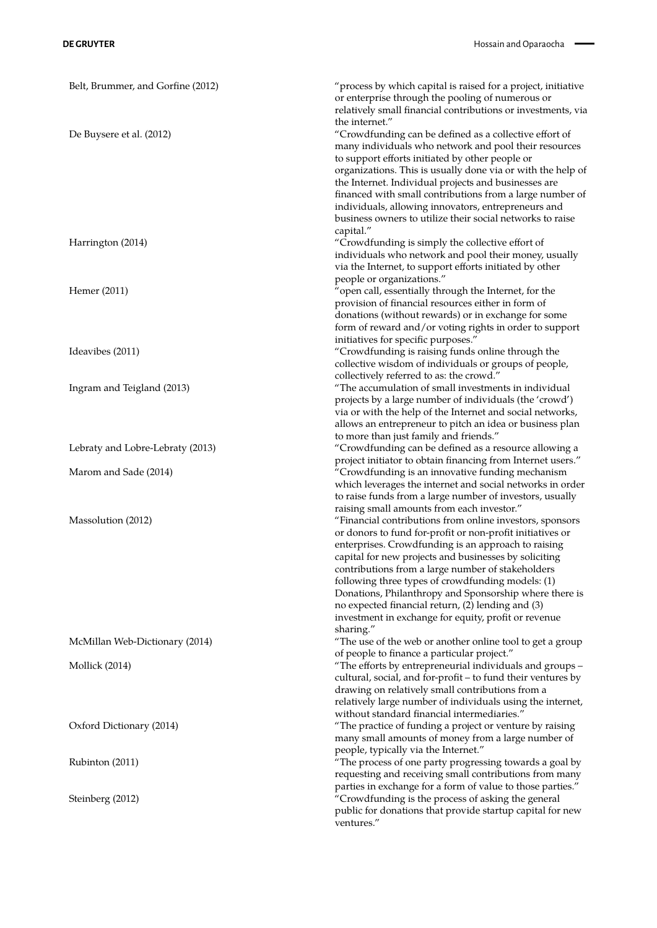-

| Belt, Brummer, and Gorfine (2012) | "process by which capital is raised for a project, initiative<br>or enterprise through the pooling of numerous or<br>relatively small financial contributions or investments, via<br>the internet."                                                                                                                                                                                                                                                                                                                                 |
|-----------------------------------|-------------------------------------------------------------------------------------------------------------------------------------------------------------------------------------------------------------------------------------------------------------------------------------------------------------------------------------------------------------------------------------------------------------------------------------------------------------------------------------------------------------------------------------|
| De Buysere et al. (2012)          | "Crowdfunding can be defined as a collective effort of<br>many individuals who network and pool their resources<br>to support efforts initiated by other people or<br>organizations. This is usually done via or with the help of<br>the Internet. Individual projects and businesses are<br>financed with small contributions from a large number of<br>individuals, allowing innovators, entrepreneurs and<br>business owners to utilize their social networks to raise<br>capital."                                              |
| Harrington (2014)                 | "Crowdfunding is simply the collective effort of<br>individuals who network and pool their money, usually<br>via the Internet, to support efforts initiated by other<br>people or organizations."                                                                                                                                                                                                                                                                                                                                   |
| Hemer (2011)                      | "open call, essentially through the Internet, for the<br>provision of financial resources either in form of<br>donations (without rewards) or in exchange for some<br>form of reward and/or voting rights in order to support<br>initiatives for specific purposes."                                                                                                                                                                                                                                                                |
| Ideavibes (2011)                  | "Crowdfunding is raising funds online through the<br>collective wisdom of individuals or groups of people,<br>collectively referred to as: the crowd."                                                                                                                                                                                                                                                                                                                                                                              |
| Ingram and Teigland (2013)        | "The accumulation of small investments in individual<br>projects by a large number of individuals (the 'crowd')<br>via or with the help of the Internet and social networks,<br>allows an entrepreneur to pitch an idea or business plan<br>to more than just family and friends."                                                                                                                                                                                                                                                  |
| Lebraty and Lobre-Lebraty (2013)  | "Crowdfunding can be defined as a resource allowing a                                                                                                                                                                                                                                                                                                                                                                                                                                                                               |
| Marom and Sade (2014)             | project initiator to obtain financing from Internet users."<br>"Crowdfunding is an innovative funding mechanism<br>which leverages the internet and social networks in order<br>to raise funds from a large number of investors, usually<br>raising small amounts from each investor."                                                                                                                                                                                                                                              |
| Massolution (2012)                | "Financial contributions from online investors, sponsors<br>or donors to fund for-profit or non-profit initiatives or<br>enterprises. Crowdfunding is an approach to raising<br>capital for new projects and businesses by soliciting<br>contributions from a large number of stakeholders<br>following three types of crowdfunding models: (1)<br>Donations, Philanthropy and Sponsorship where there is<br>no expected financial return, (2) lending and (3)<br>investment in exchange for equity, profit or revenue<br>sharing." |
| McMillan Web-Dictionary (2014)    | "The use of the web or another online tool to get a group                                                                                                                                                                                                                                                                                                                                                                                                                                                                           |
| Mollick (2014)                    | of people to finance a particular project."<br>"The efforts by entrepreneurial individuals and groups -<br>cultural, social, and for-profit - to fund their ventures by<br>drawing on relatively small contributions from a<br>relatively large number of individuals using the internet,                                                                                                                                                                                                                                           |
| Oxford Dictionary (2014)          | without standard financial intermediaries."<br>"The practice of funding a project or venture by raising<br>many small amounts of money from a large number of                                                                                                                                                                                                                                                                                                                                                                       |
| Rubinton (2011)                   | people, typically via the Internet."<br>"The process of one party progressing towards a goal by<br>requesting and receiving small contributions from many                                                                                                                                                                                                                                                                                                                                                                           |
| Steinberg (2012)                  | parties in exchange for a form of value to those parties."<br>"Crowdfunding is the process of asking the general<br>public for donations that provide startup capital for new<br>ventures."                                                                                                                                                                                                                                                                                                                                         |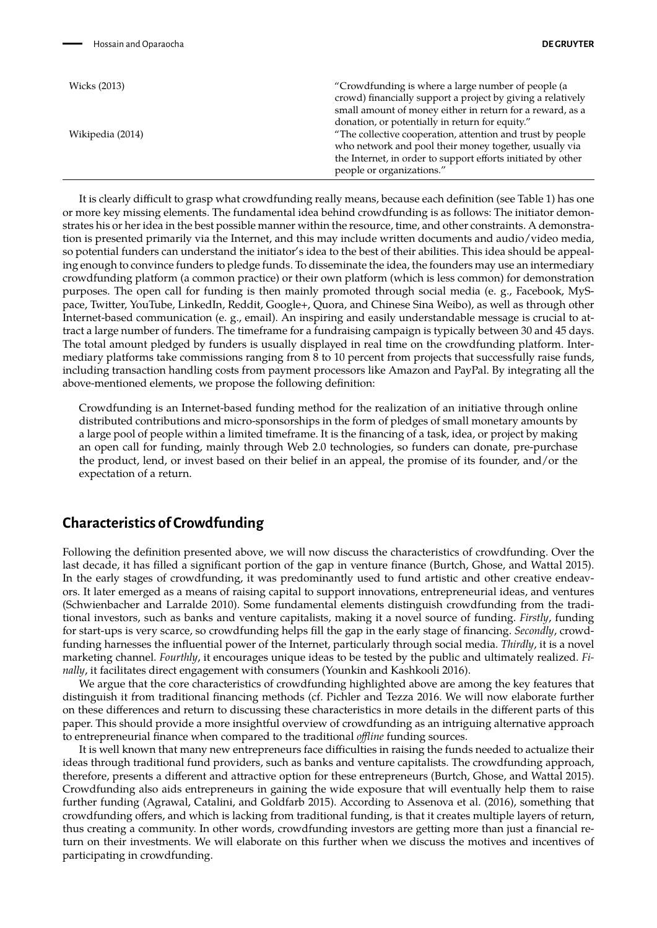| Wicks (2013)     | "Crowdfunding is where a large number of people (a<br>crowd) financially support a project by giving a relatively<br>small amount of money either in return for a reward, as a<br>donation, or potentially in return for equity." |  |
|------------------|-----------------------------------------------------------------------------------------------------------------------------------------------------------------------------------------------------------------------------------|--|
| Wikipedia (2014) | "The collective cooperation, attention and trust by people<br>who network and pool their money together, usually via<br>the Internet, in order to support efforts initiated by other<br>people or organizations."                 |  |

It is clearly difficult to grasp what crowdfunding really means, because each definition (see Table 1) has one or more key missing elements. The fundamental idea behind crowdfunding is as follows: The initiator demonstrates his or her idea in the best possible manner within the resource, time, and other constraints. A demonstration is presented primarily via the Internet, and this may include written documents and audio/video media, so potential funders can understand the initiator's idea to the best of their abilities. This idea should be appealing enough to convince funders to pledge funds. To disseminate the idea, the founders may use an intermediary crowdfunding platform (a common practice) or their own platform (which is less common) for demonstration purposes. The open call for funding is then mainly promoted through social media (e. g., Facebook, MySpace, Twitter, YouTube, LinkedIn, Reddit, Google+, Quora, and Chinese Sina Weibo), as well as through other Internet-based communication (e. g., email). An inspiring and easily understandable message is crucial to attract a large number of funders. The timeframe for a fundraising campaign is typically between 30 and 45 days. The total amount pledged by funders is usually displayed in real time on the crowdfunding platform. Intermediary platforms take commissions ranging from 8 to 10 percent from projects that successfully raise funds, including transaction handling costs from payment processors like Amazon and PayPal. By integrating all the above-mentioned elements, we propose the following definition:

Crowdfunding is an Internet-based funding method for the realization of an initiative through online distributed contributions and micro-sponsorships in the form of pledges of small monetary amounts by a large pool of people within a limited timeframe. It is the financing of a task, idea, or project by making an open call for funding, mainly through Web 2.0 technologies, so funders can donate, pre-purchase the product, lend, or invest based on their belief in an appeal, the promise of its founder, and/or the expectation of a return.

# **Characteristics of Crowdfunding**

Following the definition presented above, we will now discuss the characteristics of crowdfunding. Over the last decade, it has filled a significant portion of the gap in venture finance (Burtch, Ghose, and Wattal 2015). In the early stages of crowdfunding, it was predominantly used to fund artistic and other creative endeavors. It later emerged as a means of raising capital to support innovations, entrepreneurial ideas, and ventures (Schwienbacher and Larralde 2010). Some fundamental elements distinguish crowdfunding from the traditional investors, such as banks and venture capitalists, making it a novel source of funding. *Firstly*, funding for start-ups is very scarce, so crowdfunding helps fill the gap in the early stage of financing. *Secondly*, crowdfunding harnesses the influential power of the Internet, particularly through social media. *Thirdly*, it is a novel marketing channel. *Fourthly*, it encourages unique ideas to be tested by the public and ultimately realized. *Finally*, it facilitates direct engagement with consumers (Younkin and Kashkooli 2016).

We argue that the core characteristics of crowdfunding highlighted above are among the key features that distinguish it from traditional financing methods (cf. Pichler and Tezza 2016. We will now elaborate further on these differences and return to discussing these characteristics in more details in the different parts of this paper. This should provide a more insightful overview of crowdfunding as an intriguing alternative approach to entrepreneurial finance when compared to the traditional *offline* funding sources.

It is well known that many new entrepreneurs face difficulties in raising the funds needed to actualize their ideas through traditional fund providers, such as banks and venture capitalists. The crowdfunding approach, therefore, presents a different and attractive option for these entrepreneurs (Burtch, Ghose, and Wattal 2015). Crowdfunding also aids entrepreneurs in gaining the wide exposure that will eventually help them to raise further funding (Agrawal, Catalini, and Goldfarb 2015). According to Assenova et al. (2016), something that crowdfunding offers, and which is lacking from traditional funding, is that it creates multiple layers of return, thus creating a community. In other words, crowdfunding investors are getting more than just a financial return on their investments. We will elaborate on this further when we discuss the motives and incentives of participating in crowdfunding.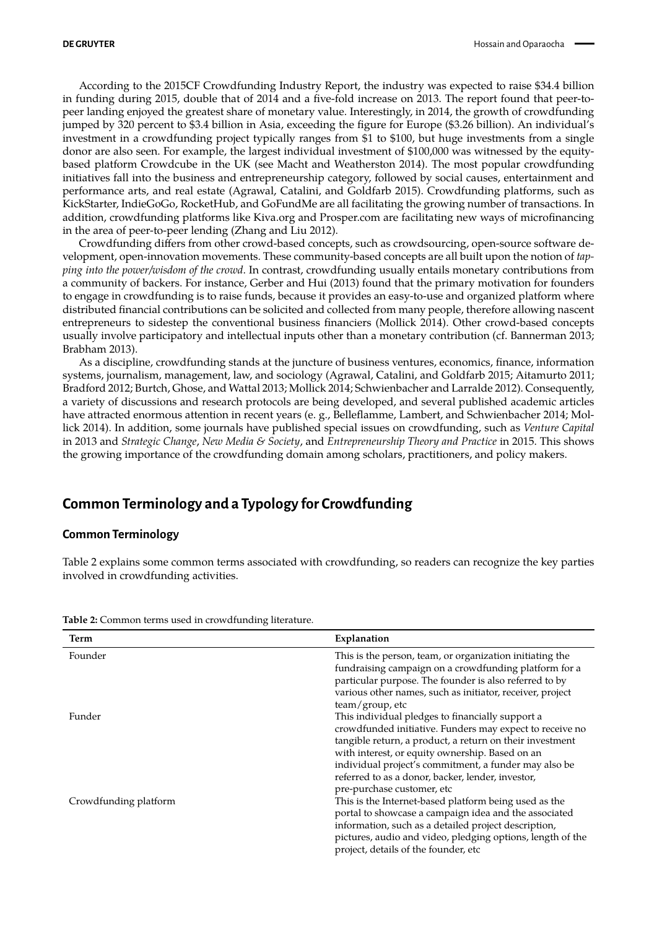According to the 2015CF Crowdfunding Industry Report, the industry was expected to raise \$34.4 billion in funding during 2015, double that of 2014 and a five-fold increase on 2013. The report found that peer-topeer landing enjoyed the greatest share of monetary value. Interestingly, in 2014, the growth of crowdfunding jumped by 320 percent to \$3.4 billion in Asia, exceeding the figure for Europe (\$3.26 billion). An individual's investment in a crowdfunding project typically ranges from \$1 to \$100, but huge investments from a single donor are also seen. For example, the largest individual investment of \$100,000 was witnessed by the equitybased platform Crowdcube in the UK (see Macht and Weatherston 2014). The most popular crowdfunding initiatives fall into the business and entrepreneurship category, followed by social causes, entertainment and performance arts, and real estate (Agrawal, Catalini, and Goldfarb 2015). Crowdfunding platforms, such as KickStarter, IndieGoGo, RocketHub, and GoFundMe are all facilitating the growing number of transactions. In addition, crowdfunding platforms like Kiva.org and Prosper.com are facilitating new ways of microfinancing in the area of peer-to-peer lending (Zhang and Liu 2012).

Crowdfunding differs from other crowd-based concepts, such as crowdsourcing, open-source software development, open-innovation movements. These community-based concepts are all built upon the notion of *tapping into the power/wisdom of the crowd*. In contrast, crowdfunding usually entails monetary contributions from a community of backers. For instance, Gerber and Hui (2013) found that the primary motivation for founders to engage in crowdfunding is to raise funds, because it provides an easy-to-use and organized platform where distributed financial contributions can be solicited and collected from many people, therefore allowing nascent entrepreneurs to sidestep the conventional business financiers (Mollick 2014). Other crowd-based concepts usually involve participatory and intellectual inputs other than a monetary contribution (cf. Bannerman 2013; Brabham 2013).

As a discipline, crowdfunding stands at the juncture of business ventures, economics, finance, information systems, journalism, management, law, and sociology (Agrawal, Catalini, and Goldfarb 2015; Aitamurto 2011; Bradford 2012; Burtch, Ghose, and Wattal 2013; Mollick 2014; Schwienbacher and Larralde 2012). Consequently, a variety of discussions and research protocols are being developed, and several published academic articles have attracted enormous attention in recent years (e. g., Belleflamme, Lambert, and Schwienbacher 2014; Mollick 2014). In addition, some journals have published special issues on crowdfunding, such as *Venture Capital* in 2013 and *Strategic Change*, *New Media & Society*, and *Entrepreneurship Theory and Practice* in 2015. This shows the growing importance of the crowdfunding domain among scholars, practitioners, and policy makers.

# **Common Terminology and a Typology for Crowdfunding**

## **Common Terminology**

Table 2 explains some common terms associated with crowdfunding, so readers can recognize the key parties involved in crowdfunding activities.

| Term                  | Explanation                                                                                                                                                                                                                                                                                                                                                             |
|-----------------------|-------------------------------------------------------------------------------------------------------------------------------------------------------------------------------------------------------------------------------------------------------------------------------------------------------------------------------------------------------------------------|
| Founder               | This is the person, team, or organization initiating the<br>fundraising campaign on a crowdfunding platform for a<br>particular purpose. The founder is also referred to by<br>various other names, such as initiator, receiver, project<br>team/group, etc                                                                                                             |
| Funder                | This individual pledges to financially support a<br>crowdfunded initiative. Funders may expect to receive no<br>tangible return, a product, a return on their investment<br>with interest, or equity ownership. Based on an<br>individual project's commitment, a funder may also be<br>referred to as a donor, backer, lender, investor,<br>pre-purchase customer, etc |
| Crowdfunding platform | This is the Internet-based platform being used as the<br>portal to showcase a campaign idea and the associated<br>information, such as a detailed project description,<br>pictures, audio and video, pledging options, length of the<br>project, details of the founder, etc                                                                                            |

**Table 2:** Common terms used in crowdfunding literature.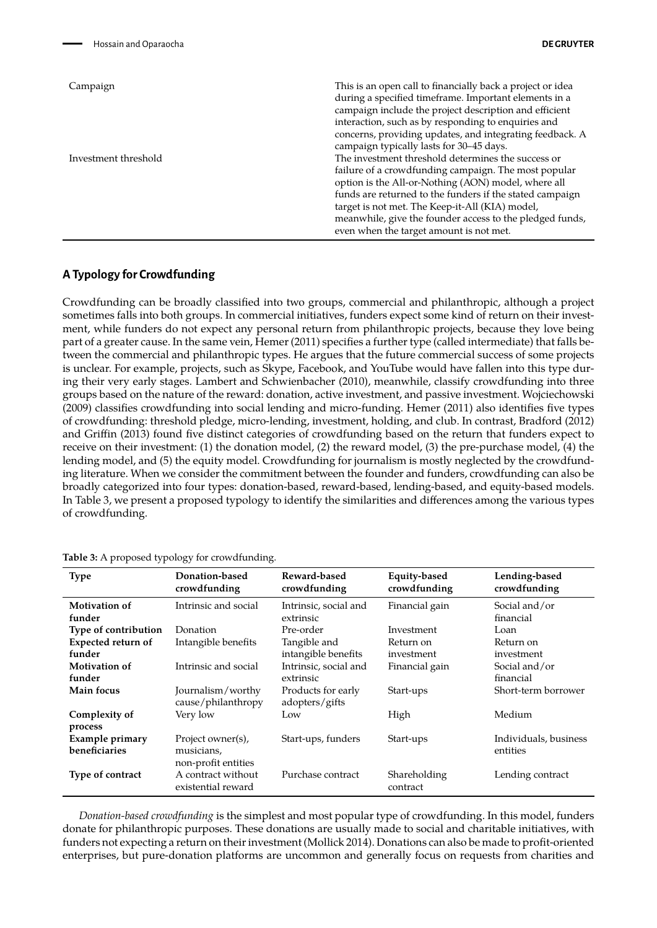| Campaign             | This is an open call to financially back a project or idea<br>during a specified timeframe. Important elements in a<br>campaign include the project description and efficient<br>interaction, such as by responding to enquiries and |  |
|----------------------|--------------------------------------------------------------------------------------------------------------------------------------------------------------------------------------------------------------------------------------|--|
|                      | concerns, providing updates, and integrating feedback. A<br>campaign typically lasts for 30-45 days.                                                                                                                                 |  |
| Investment threshold | The investment threshold determines the success or                                                                                                                                                                                   |  |
|                      | failure of a crowdfunding campaign. The most popular<br>option is the All-or-Nothing (AON) model, where all                                                                                                                          |  |
|                      | funds are returned to the funders if the stated campaign                                                                                                                                                                             |  |
|                      | target is not met. The Keep-it-All (KIA) model,                                                                                                                                                                                      |  |
|                      | meanwhile, give the founder access to the pledged funds,<br>even when the target amount is not met.                                                                                                                                  |  |

## **A Typology for Crowdfunding**

Crowdfunding can be broadly classified into two groups, commercial and philanthropic, although a project sometimes falls into both groups. In commercial initiatives, funders expect some kind of return on their investment, while funders do not expect any personal return from philanthropic projects, because they love being part of a greater cause. In the same vein, Hemer (2011) specifies a further type (called intermediate) that falls between the commercial and philanthropic types. He argues that the future commercial success of some projects is unclear. For example, projects, such as Skype, Facebook, and YouTube would have fallen into this type during their very early stages. Lambert and Schwienbacher (2010), meanwhile, classify crowdfunding into three groups based on the nature of the reward: donation, active investment, and passive investment. Wojciechowski (2009) classifies crowdfunding into social lending and micro-funding. Hemer (2011) also identifies five types of crowdfunding: threshold pledge, micro-lending, investment, holding, and club. In contrast, Bradford (2012) and Griffin (2013) found five distinct categories of crowdfunding based on the return that funders expect to receive on their investment: (1) the donation model, (2) the reward model, (3) the pre-purchase model, (4) the lending model, and (5) the equity model. Crowdfunding for journalism is mostly neglected by the crowdfunding literature. When we consider the commitment between the founder and funders, crowdfunding can also be broadly categorized into four types: donation-based, reward-based, lending-based, and equity-based models. In Table 3, we present a proposed typology to identify the similarities and differences among the various types of crowdfunding.

| <b>Type</b>          | Donation-based<br>crowdfunding           | Reward-based<br>crowdfunding         | Equity-based<br>crowdfunding | Lending-based<br>crowdfunding |
|----------------------|------------------------------------------|--------------------------------------|------------------------------|-------------------------------|
| Motivation of        | Intrinsic and social                     | Intrinsic, social and                | Financial gain               | Social and/or                 |
| funder               |                                          | extrinsic                            |                              | financial                     |
| Type of contribution | Donation                                 | Pre-order                            | Investment                   | Loan                          |
| Expected return of   | Intangible benefits                      | Tangible and                         | Return on                    | Return on                     |
| funder               |                                          | intangible benefits                  | investment                   | investment                    |
| <b>Motivation of</b> | Intrinsic and social                     | Intrinsic, social and                | Financial gain               | Social and/or                 |
| funder               |                                          | extrinsic                            |                              | financial                     |
| <b>Main focus</b>    | Journalism/worthy<br>cause/philanthropy  | Products for early<br>adopters/gifts | Start-ups                    | Short-term borrower           |
| Complexity of        | Very low                                 | Low                                  | High                         | Medium                        |
| process              |                                          |                                      |                              |                               |
| Example primary      | Project owner(s),                        | Start-ups, funders                   | Start-ups                    | Individuals, business         |
| beneficiaries        | musicians,<br>non-profit entities        |                                      |                              | entities                      |
| Type of contract     | A contract without<br>existential reward | Purchase contract                    | Shareholding<br>contract     | Lending contract              |

**Table 3:** A proposed typology for crowdfunding.

*Donation-based crowdfunding* is the simplest and most popular type of crowdfunding. In this model, funders donate for philanthropic purposes. These donations are usually made to social and charitable initiatives, with funders not expecting a return on their investment (Mollick 2014). Donations can also be made to profit-oriented enterprises, but pure-donation platforms are uncommon and generally focus on requests from charities and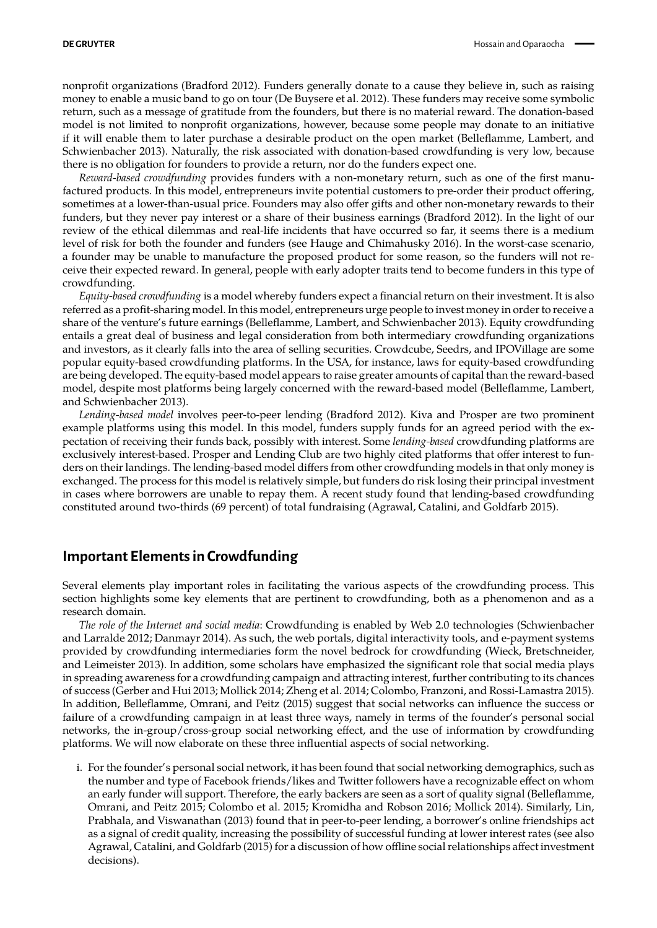nonprofit organizations (Bradford 2012). Funders generally donate to a cause they believe in, such as raising money to enable a music band to go on tour (De Buysere et al. 2012). These funders may receive some symbolic return, such as a message of gratitude from the founders, but there is no material reward. The donation-based model is not limited to nonprofit organizations, however, because some people may donate to an initiative if it will enable them to later purchase a desirable product on the open market (Belleflamme, Lambert, and Schwienbacher 2013). Naturally, the risk associated with donation-based crowdfunding is very low, because there is no obligation for founders to provide a return, nor do the funders expect one.

*Reward-based crowdfunding* provides funders with a non-monetary return, such as one of the first manufactured products. In this model, entrepreneurs invite potential customers to pre-order their product offering, sometimes at a lower-than-usual price. Founders may also offer gifts and other non-monetary rewards to their funders, but they never pay interest or a share of their business earnings (Bradford 2012). In the light of our review of the ethical dilemmas and real-life incidents that have occurred so far, it seems there is a medium level of risk for both the founder and funders (see Hauge and Chimahusky 2016). In the worst-case scenario, a founder may be unable to manufacture the proposed product for some reason, so the funders will not receive their expected reward. In general, people with early adopter traits tend to become funders in this type of crowdfunding.

*Equity-based crowdfunding* is a model whereby funders expect a financial return on their investment. It is also referred as a profit-sharing model. In this model, entrepreneurs urge people to invest money in order to receive a share of the venture's future earnings (Belleflamme, Lambert, and Schwienbacher 2013). Equity crowdfunding entails a great deal of business and legal consideration from both intermediary crowdfunding organizations and investors, as it clearly falls into the area of selling securities. Crowdcube, Seedrs, and IPOVillage are some popular equity-based crowdfunding platforms. In the USA, for instance, laws for equity-based crowdfunding are being developed. The equity-based model appears to raise greater amounts of capital than the reward-based model, despite most platforms being largely concerned with the reward-based model (Belleflamme, Lambert, and Schwienbacher 2013).

*Lending-based model* involves peer-to-peer lending (Bradford 2012). Kiva and Prosper are two prominent example platforms using this model. In this model, funders supply funds for an agreed period with the expectation of receiving their funds back, possibly with interest. Some *lending-based* crowdfunding platforms are exclusively interest-based. Prosper and Lending Club are two highly cited platforms that offer interest to funders on their landings. The lending-based model differs from other crowdfunding models in that only money is exchanged. The process for this model is relatively simple, but funders do risk losing their principal investment in cases where borrowers are unable to repay them. A recent study found that lending-based crowdfunding constituted around two-thirds (69 percent) of total fundraising (Agrawal, Catalini, and Goldfarb 2015).

## **Important Elements in Crowdfunding**

Several elements play important roles in facilitating the various aspects of the crowdfunding process. This section highlights some key elements that are pertinent to crowdfunding, both as a phenomenon and as a research domain.

*The role of the Internet and social media*: Crowdfunding is enabled by Web 2.0 technologies (Schwienbacher and Larralde 2012; Danmayr 2014). As such, the web portals, digital interactivity tools, and e-payment systems provided by crowdfunding intermediaries form the novel bedrock for crowdfunding (Wieck, Bretschneider, and Leimeister 2013). In addition, some scholars have emphasized the significant role that social media plays in spreading awareness for a crowdfunding campaign and attracting interest, further contributing to its chances of success (Gerber and Hui 2013; Mollick 2014; Zheng et al. 2014; Colombo, Franzoni, and Rossi-Lamastra 2015). In addition, Belleflamme, Omrani, and Peitz (2015) suggest that social networks can influence the success or failure of a crowdfunding campaign in at least three ways, namely in terms of the founder's personal social networks, the in-group/cross-group social networking effect, and the use of information by crowdfunding platforms. We will now elaborate on these three influential aspects of social networking.

i. For the founder's personal social network, it has been found that social networking demographics, such as the number and type of Facebook friends/likes and Twitter followers have a recognizable effect on whom an early funder will support. Therefore, the early backers are seen as a sort of quality signal (Belleflamme, Omrani, and Peitz 2015; Colombo et al. 2015; Kromidha and Robson 2016; Mollick 2014). Similarly, Lin, Prabhala, and Viswanathan (2013) found that in peer-to-peer lending, a borrower's online friendships act as a signal of credit quality, increasing the possibility of successful funding at lower interest rates (see also Agrawal, Catalini, and Goldfarb (2015) for a discussion of how offline social relationships affect investment decisions).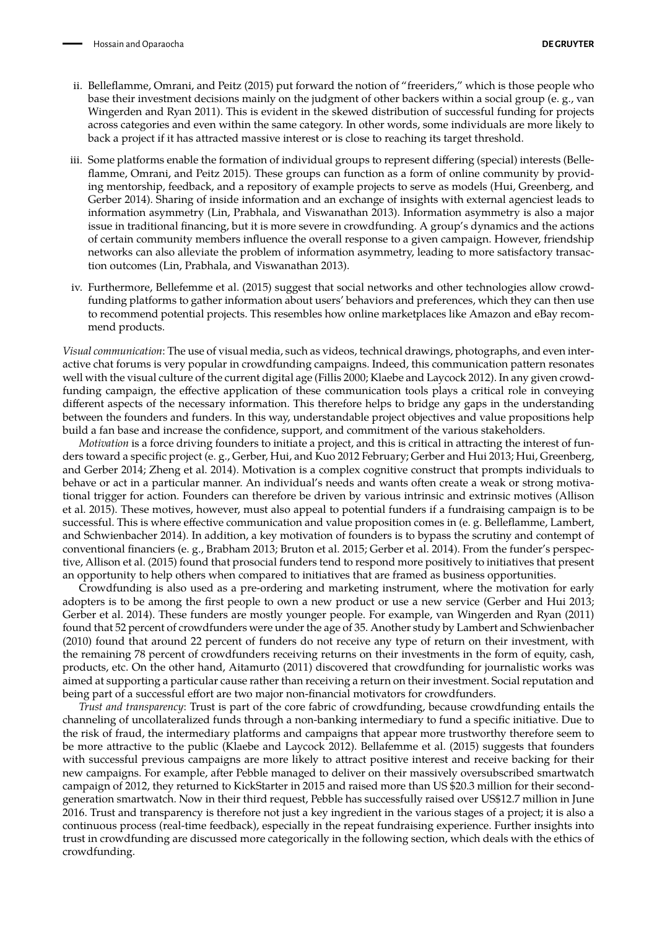- ii. Belleflamme, Omrani, and Peitz (2015) put forward the notion of "freeriders," which is those people who base their investment decisions mainly on the judgment of other backers within a social group (e. g., van Wingerden and Ryan 2011). This is evident in the skewed distribution of successful funding for projects across categories and even within the same category. In other words, some individuals are more likely to back a project if it has attracted massive interest or is close to reaching its target threshold.
- iii. Some platforms enable the formation of individual groups to represent differing (special) interests (Belleflamme, Omrani, and Peitz 2015). These groups can function as a form of online community by providing mentorship, feedback, and a repository of example projects to serve as models (Hui, Greenberg, and Gerber 2014). Sharing of inside information and an exchange of insights with external agenciest leads to information asymmetry (Lin, Prabhala, and Viswanathan 2013). Information asymmetry is also a major issue in traditional financing, but it is more severe in crowdfunding. A group's dynamics and the actions of certain community members influence the overall response to a given campaign. However, friendship networks can also alleviate the problem of information asymmetry, leading to more satisfactory transaction outcomes (Lin, Prabhala, and Viswanathan 2013).
- iv. Furthermore, Bellefemme et al. (2015) suggest that social networks and other technologies allow crowdfunding platforms to gather information about users' behaviors and preferences, which they can then use to recommend potential projects. This resembles how online marketplaces like Amazon and eBay recommend products.

*Visual communication*: The use of visual media, such as videos, technical drawings, photographs, and even interactive chat forums is very popular in crowdfunding campaigns. Indeed, this communication pattern resonates well with the visual culture of the current digital age (Fillis 2000; Klaebe and Laycock 2012). In any given crowdfunding campaign, the effective application of these communication tools plays a critical role in conveying different aspects of the necessary information. This therefore helps to bridge any gaps in the understanding between the founders and funders. In this way, understandable project objectives and value propositions help build a fan base and increase the confidence, support, and commitment of the various stakeholders.

*Motivation* is a force driving founders to initiate a project, and this is critical in attracting the interest of funders toward a specific project (e. g., Gerber, Hui, and Kuo 2012 February; Gerber and Hui 2013; Hui, Greenberg, and Gerber 2014; Zheng et al. 2014). Motivation is a complex cognitive construct that prompts individuals to behave or act in a particular manner. An individual's needs and wants often create a weak or strong motivational trigger for action. Founders can therefore be driven by various intrinsic and extrinsic motives (Allison et al. 2015). These motives, however, must also appeal to potential funders if a fundraising campaign is to be successful. This is where effective communication and value proposition comes in (e. g. Belleflamme, Lambert, and Schwienbacher 2014). In addition, a key motivation of founders is to bypass the scrutiny and contempt of conventional financiers (e. g., Brabham 2013; Bruton et al. 2015; Gerber et al. 2014). From the funder's perspective, Allison et al. (2015) found that prosocial funders tend to respond more positively to initiatives that present an opportunity to help others when compared to initiatives that are framed as business opportunities.

Crowdfunding is also used as a pre-ordering and marketing instrument, where the motivation for early adopters is to be among the first people to own a new product or use a new service (Gerber and Hui 2013; Gerber et al. 2014). These funders are mostly younger people. For example, van Wingerden and Ryan (2011) found that 52 percent of crowdfunders were under the age of 35. Another study by Lambert and Schwienbacher (2010) found that around 22 percent of funders do not receive any type of return on their investment, with the remaining 78 percent of crowdfunders receiving returns on their investments in the form of equity, cash, products, etc. On the other hand, Aitamurto (2011) discovered that crowdfunding for journalistic works was aimed at supporting a particular cause rather than receiving a return on their investment. Social reputation and being part of a successful effort are two major non-financial motivators for crowdfunders.

*Trust and transparency*: Trust is part of the core fabric of crowdfunding, because crowdfunding entails the channeling of uncollateralized funds through a non-banking intermediary to fund a specific initiative. Due to the risk of fraud, the intermediary platforms and campaigns that appear more trustworthy therefore seem to be more attractive to the public (Klaebe and Laycock 2012). Bellafemme et al. (2015) suggests that founders with successful previous campaigns are more likely to attract positive interest and receive backing for their new campaigns. For example, after Pebble managed to deliver on their massively oversubscribed smartwatch campaign of 2012, they returned to KickStarter in 2015 and raised more than US \$20.3 million for their secondgeneration smartwatch. Now in their third request, Pebble has successfully raised over US\$12.7 million in June 2016. Trust and transparency is therefore not just a key ingredient in the various stages of a project; it is also a continuous process (real-time feedback), especially in the repeat fundraising experience. Further insights into trust in crowdfunding are discussed more categorically in the following section, which deals with the ethics of crowdfunding.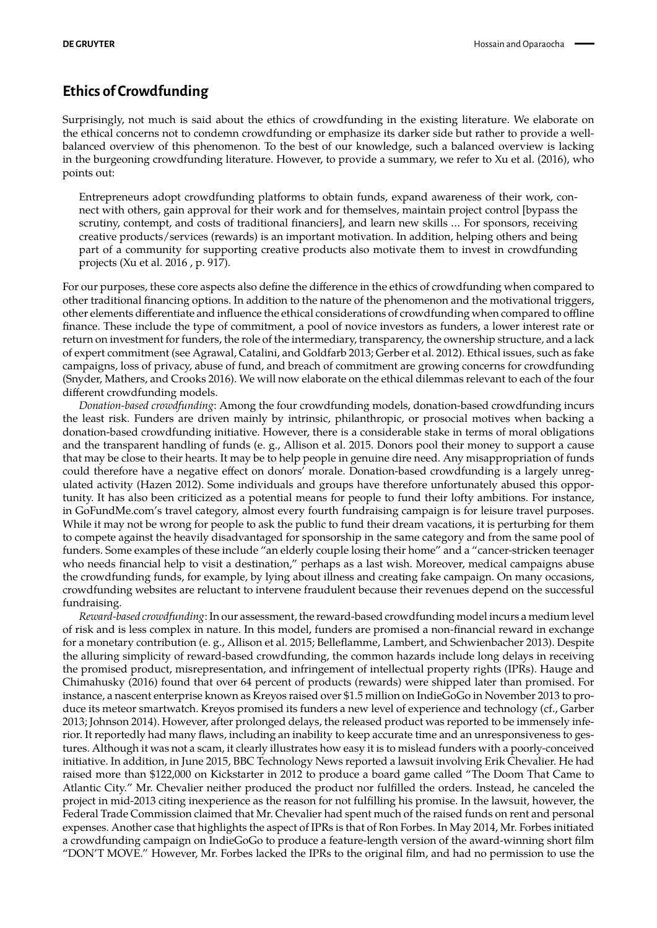# **Ethics of Crowdfunding**

Surprisingly, not much is said about the ethics of crowdfunding in the existing literature. We elaborate on the ethical concerns not to condemn crowdfunding or emphasize its darker side but rather to provide a wellbalanced overview of this phenomenon. To the best of our knowledge, such a balanced overview is lacking in the burgeoning crowdfunding literature. However, to provide a summary, we refer to Xu et al. (2016), who points out:

Entrepreneurs adopt crowdfunding platforms to obtain funds, expand awareness of their work, connect with others, gain approval for their work and for themselves, maintain project control [bypass the scrutiny, contempt, and costs of traditional financiers], and learn new skills … For sponsors, receiving creative products/services (rewards) is an important motivation. In addition, helping others and being part of a community for supporting creative products also motivate them to invest in crowdfunding projects (Xu et al. 2016 , p. 917).

For our purposes, these core aspects also define the difference in the ethics of crowdfunding when compared to other traditional financing options. In addition to the nature of the phenomenon and the motivational triggers, other elements differentiate and influence the ethical considerations of crowdfunding when compared to offline finance. These include the type of commitment, a pool of novice investors as funders, a lower interest rate or return on investment for funders, the role of the intermediary, transparency, the ownership structure, and a lack of expert commitment (see Agrawal, Catalini, and Goldfarb 2013; Gerber et al. 2012). Ethical issues, such as fake campaigns, loss of privacy, abuse of fund, and breach of commitment are growing concerns for crowdfunding (Snyder, Mathers, and Crooks 2016). We will now elaborate on the ethical dilemmas relevant to each of the four different crowdfunding models.

*Donation-based crowdfunding*: Among the four crowdfunding models, donation-based crowdfunding incurs the least risk. Funders are driven mainly by intrinsic, philanthropic, or prosocial motives when backing a donation-based crowdfunding initiative. However, there is a considerable stake in terms of moral obligations and the transparent handling of funds (e. g., Allison et al. 2015. Donors pool their money to support a cause that may be close to their hearts. It may be to help people in genuine dire need. Any misappropriation of funds could therefore have a negative effect on donors' morale. Donation-based crowdfunding is a largely unregulated activity (Hazen 2012). Some individuals and groups have therefore unfortunately abused this opportunity. It has also been criticized as a potential means for people to fund their lofty ambitions. For instance, in GoFundMe.com's travel category, almost every fourth fundraising campaign is for leisure travel purposes. While it may not be wrong for people to ask the public to fund their dream vacations, it is perturbing for them to compete against the heavily disadvantaged for sponsorship in the same category and from the same pool of funders. Some examples of these include "an elderly couple losing their home" and a "cancer-stricken teenager who needs financial help to visit a destination," perhaps as a last wish. Moreover, medical campaigns abuse the crowdfunding funds, for example, by lying about illness and creating fake campaign. On many occasions, crowdfunding websites are reluctant to intervene fraudulent because their revenues depend on the successful fundraising.

*Reward-based crowdfunding*: In our assessment, the reward-based crowdfunding model incurs a medium level of risk and is less complex in nature. In this model, funders are promised a non-financial reward in exchange for a monetary contribution (e. g., Allison et al. 2015; Belleflamme, Lambert, and Schwienbacher 2013). Despite the alluring simplicity of reward-based crowdfunding, the common hazards include long delays in receiving the promised product, misrepresentation, and infringement of intellectual property rights (IPRs). Hauge and Chimahusky (2016) found that over 64 percent of products (rewards) were shipped later than promised. For instance, a nascent enterprise known as Kreyos raised over \$1.5 million on IndieGoGo in November 2013 to produce its meteor smartwatch. Kreyos promised its funders a new level of experience and technology (cf., Garber 2013; Johnson 2014). However, after prolonged delays, the released product was reported to be immensely inferior. It reportedly had many flaws, including an inability to keep accurate time and an unresponsiveness to gestures. Although it was not a scam, it clearly illustrates how easy it is to mislead funders with a poorly-conceived initiative. In addition, in June 2015, BBC Technology News reported a lawsuit involving Erik Chevalier. He had raised more than \$122,000 on Kickstarter in 2012 to produce a board game called "The Doom That Came to Atlantic City." Mr. Chevalier neither produced the product nor fulfilled the orders. Instead, he canceled the project in mid-2013 citing inexperience as the reason for not fulfilling his promise. In the lawsuit, however, the Federal Trade Commission claimed that Mr. Chevalier had spent much of the raised funds on rent and personal expenses. Another case that highlights the aspect of IPRs is that of Ron Forbes. In May 2014, Mr. Forbes initiated a crowdfunding campaign on IndieGoGo to produce a feature-length version of the award-winning short film "DON'T MOVE." However, Mr. Forbes lacked the IPRs to the original film, and had no permission to use the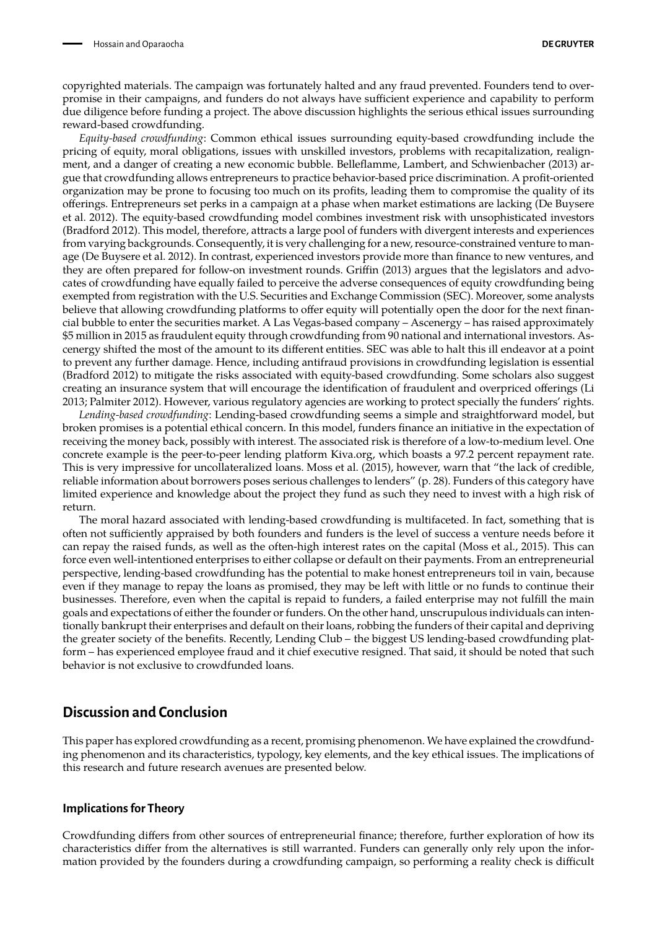copyrighted materials. The campaign was fortunately halted and any fraud prevented. Founders tend to overpromise in their campaigns, and funders do not always have sufficient experience and capability to perform due diligence before funding a project. The above discussion highlights the serious ethical issues surrounding reward-based crowdfunding.

*Equity-based crowdfunding*: Common ethical issues surrounding equity-based crowdfunding include the pricing of equity, moral obligations, issues with unskilled investors, problems with recapitalization, realignment, and a danger of creating a new economic bubble. Belleflamme, Lambert, and Schwienbacher (2013) argue that crowdfunding allows entrepreneurs to practice behavior-based price discrimination. A profit-oriented organization may be prone to focusing too much on its profits, leading them to compromise the quality of its offerings. Entrepreneurs set perks in a campaign at a phase when market estimations are lacking (De Buysere et al. 2012). The equity-based crowdfunding model combines investment risk with unsophisticated investors (Bradford 2012). This model, therefore, attracts a large pool of funders with divergent interests and experiences from varying backgrounds. Consequently, it is very challenging for a new, resource-constrained venture to manage (De Buysere et al. 2012). In contrast, experienced investors provide more than finance to new ventures, and they are often prepared for follow-on investment rounds. Griffin (2013) argues that the legislators and advocates of crowdfunding have equally failed to perceive the adverse consequences of equity crowdfunding being exempted from registration with the U.S. Securities and Exchange Commission (SEC). Moreover, some analysts believe that allowing crowdfunding platforms to offer equity will potentially open the door for the next financial bubble to enter the securities market. A Las Vegas-based company – Ascenergy – has raised approximately \$5 million in 2015 as fraudulent equity through crowdfunding from 90 national and international investors. Ascenergy shifted the most of the amount to its different entities. SEC was able to halt this ill endeavor at a point to prevent any further damage. Hence, including antifraud provisions in crowdfunding legislation is essential (Bradford 2012) to mitigate the risks associated with equity-based crowdfunding. Some scholars also suggest creating an insurance system that will encourage the identification of fraudulent and overpriced offerings (Li 2013; Palmiter 2012). However, various regulatory agencies are working to protect specially the funders' rights.

*Lending-based crowdfunding*: Lending-based crowdfunding seems a simple and straightforward model, but broken promises is a potential ethical concern. In this model, funders finance an initiative in the expectation of receiving the money back, possibly with interest. The associated risk is therefore of a low-to-medium level. One concrete example is the peer-to-peer lending platform Kiva.org, which boasts a 97.2 percent repayment rate. This is very impressive for uncollateralized loans. Moss et al. (2015), however, warn that "the lack of credible, reliable information about borrowers poses serious challenges to lenders" (p. 28). Funders of this category have limited experience and knowledge about the project they fund as such they need to invest with a high risk of return.

The moral hazard associated with lending-based crowdfunding is multifaceted. In fact, something that is often not sufficiently appraised by both founders and funders is the level of success a venture needs before it can repay the raised funds, as well as the often-high interest rates on the capital (Moss et al., 2015). This can force even well-intentioned enterprises to either collapse or default on their payments. From an entrepreneurial perspective, lending-based crowdfunding has the potential to make honest entrepreneurs toil in vain, because even if they manage to repay the loans as promised, they may be left with little or no funds to continue their businesses. Therefore, even when the capital is repaid to funders, a failed enterprise may not fulfill the main goals and expectations of either the founder or funders. On the other hand, unscrupulous individuals can intentionally bankrupt their enterprises and default on their loans, robbing the funders of their capital and depriving the greater society of the benefits. Recently, Lending Club – the biggest US lending-based crowdfunding platform – has experienced employee fraud and it chief executive resigned. That said, it should be noted that such behavior is not exclusive to crowdfunded loans.

## **Discussion and Conclusion**

This paper has explored crowdfunding as a recent, promising phenomenon. We have explained the crowdfunding phenomenon and its characteristics, typology, key elements, and the key ethical issues. The implications of this research and future research avenues are presented below.

## **Implications for Theory**

Crowdfunding differs from other sources of entrepreneurial finance; therefore, further exploration of how its characteristics differ from the alternatives is still warranted. Funders can generally only rely upon the information provided by the founders during a crowdfunding campaign, so performing a reality check is difficult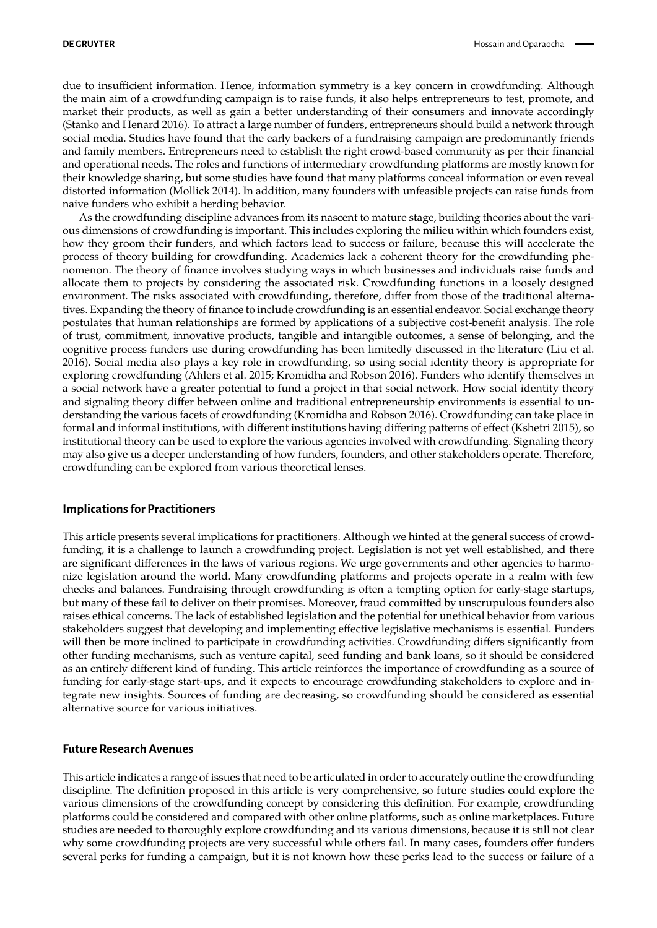due to insufficient information. Hence, information symmetry is a key concern in crowdfunding. Although the main aim of a crowdfunding campaign is to raise funds, it also helps entrepreneurs to test, promote, and market their products, as well as gain a better understanding of their consumers and innovate accordingly (Stanko and Henard 2016). To attract a large number of funders, entrepreneurs should build a network through social media. Studies have found that the early backers of a fundraising campaign are predominantly friends and family members. Entrepreneurs need to establish the right crowd-based community as per their financial and operational needs. The roles and functions of intermediary crowdfunding platforms are mostly known for their knowledge sharing, but some studies have found that many platforms conceal information or even reveal distorted information (Mollick 2014). In addition, many founders with unfeasible projects can raise funds from naive funders who exhibit a herding behavior.

As the crowdfunding discipline advances from its nascent to mature stage, building theories about the various dimensions of crowdfunding is important. This includes exploring the milieu within which founders exist, how they groom their funders, and which factors lead to success or failure, because this will accelerate the process of theory building for crowdfunding. Academics lack a coherent theory for the crowdfunding phenomenon. The theory of finance involves studying ways in which businesses and individuals raise funds and allocate them to projects by considering the associated risk. Crowdfunding functions in a loosely designed environment. The risks associated with crowdfunding, therefore, differ from those of the traditional alternatives. Expanding the theory of finance to include crowdfunding is an essential endeavor. Social exchange theory postulates that human relationships are formed by applications of a subjective cost-benefit analysis. The role of trust, commitment, innovative products, tangible and intangible outcomes, a sense of belonging, and the cognitive process funders use during crowdfunding has been limitedly discussed in the literature (Liu et al. 2016). Social media also plays a key role in crowdfunding, so using social identity theory is appropriate for exploring crowdfunding (Ahlers et al. 2015; Kromidha and Robson 2016). Funders who identify themselves in a social network have a greater potential to fund a project in that social network. How social identity theory and signaling theory differ between online and traditional entrepreneurship environments is essential to understanding the various facets of crowdfunding (Kromidha and Robson 2016). Crowdfunding can take place in formal and informal institutions, with different institutions having differing patterns of effect (Kshetri 2015), so institutional theory can be used to explore the various agencies involved with crowdfunding. Signaling theory may also give us a deeper understanding of how funders, founders, and other stakeholders operate. Therefore, crowdfunding can be explored from various theoretical lenses.

## **Implications for Practitioners**

This article presents several implications for practitioners. Although we hinted at the general success of crowdfunding, it is a challenge to launch a crowdfunding project. Legislation is not yet well established, and there are significant differences in the laws of various regions. We urge governments and other agencies to harmonize legislation around the world. Many crowdfunding platforms and projects operate in a realm with few checks and balances. Fundraising through crowdfunding is often a tempting option for early-stage startups, but many of these fail to deliver on their promises. Moreover, fraud committed by unscrupulous founders also raises ethical concerns. The lack of established legislation and the potential for unethical behavior from various stakeholders suggest that developing and implementing effective legislative mechanisms is essential. Funders will then be more inclined to participate in crowdfunding activities. Crowdfunding differs significantly from other funding mechanisms, such as venture capital, seed funding and bank loans, so it should be considered as an entirely different kind of funding. This article reinforces the importance of crowdfunding as a source of funding for early-stage start-ups, and it expects to encourage crowdfunding stakeholders to explore and integrate new insights. Sources of funding are decreasing, so crowdfunding should be considered as essential alternative source for various initiatives.

#### **Future Research Avenues**

This article indicates a range of issues that need to be articulated in order to accurately outline the crowdfunding discipline. The definition proposed in this article is very comprehensive, so future studies could explore the various dimensions of the crowdfunding concept by considering this definition. For example, crowdfunding platforms could be considered and compared with other online platforms, such as online marketplaces. Future studies are needed to thoroughly explore crowdfunding and its various dimensions, because it is still not clear why some crowdfunding projects are very successful while others fail. In many cases, founders offer funders several perks for funding a campaign, but it is not known how these perks lead to the success or failure of a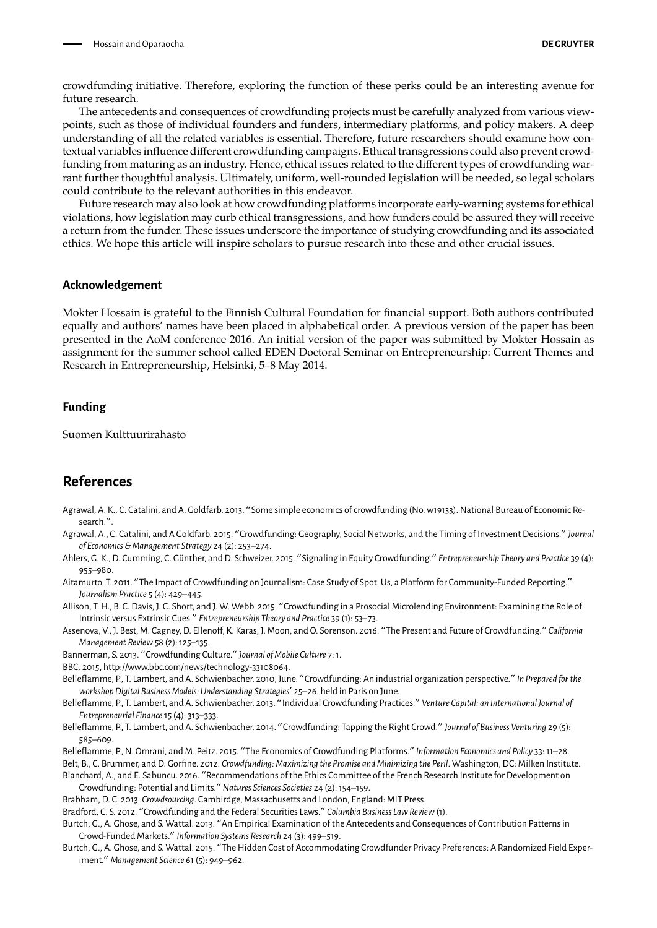crowdfunding initiative. Therefore, exploring the function of these perks could be an interesting avenue for future research.

The antecedents and consequences of crowdfunding projects must be carefully analyzed from various viewpoints, such as those of individual founders and funders, intermediary platforms, and policy makers. A deep understanding of all the related variables is essential. Therefore, future researchers should examine how contextual variables influence different crowdfunding campaigns. Ethical transgressions could also prevent crowdfunding from maturing as an industry. Hence, ethical issues related to the different types of crowdfunding warrant further thoughtful analysis. Ultimately, uniform, well-rounded legislation will be needed, so legal scholars could contribute to the relevant authorities in this endeavor.

Future research may also look at how crowdfunding platforms incorporate early-warning systems for ethical violations, how legislation may curb ethical transgressions, and how funders could be assured they will receive a return from the funder. These issues underscore the importance of studying crowdfunding and its associated ethics. We hope this article will inspire scholars to pursue research into these and other crucial issues.

#### **Acknowledgement**

Mokter Hossain is grateful to the Finnish Cultural Foundation for financial support. Both authors contributed equally and authors' names have been placed in alphabetical order. A previous version of the paper has been presented in the AoM conference 2016. An initial version of the paper was submitted by Mokter Hossain as assignment for the summer school called EDEN Doctoral Seminar on Entrepreneurship: Current Themes and Research in Entrepreneurship, Helsinki, 5–8 May 2014.

## **Funding**

Suomen Kulttuurirahasto

# **References**

- Agrawal, A. K., C. Catalini, and A. Goldfarb. 2013. "Some simple economics of crowdfunding (No. w19133). National Bureau of Economic Research.".
- Agrawal, A., C. Catalini, and A Goldfarb. 2015. "Crowdfunding: Geography, Social Networks, and the Timing of Investment Decisions." *Journal of Economics & Management Strategy* 24 (2): 253–274.
- Ahlers, G. K., D. Cumming, C. Günther, and D. Schweizer. 2015. "Signaling in Equity Crowdfunding." *Entrepreneurship Theory and Practice* 39 (4): 955–980.
- Aitamurto, T. 2011. "The Impact of Crowdfunding on Journalism: Case Study of Spot. Us, a Platform for Community-Funded Reporting." *Journalism Practice* 5 (4): 429–445.
- Allison, T. H., B. C. Davis, J. C. Short, and J. W. Webb. 2015. "Crowdfunding in a Prosocial Microlending Environment: Examining the Role of Intrinsic versus Extrinsic Cues." *Entrepreneurship Theory and Practice* 39 (1): 53–73.
- Assenova, V., J. Best, M. Cagney, D. Ellenoff, K. Karas, J. Moon, and O. Sorenson. 2016. "The Present and Future of Crowdfunding." *California Management Review* 58 (2): 125–135.
- Bannerman, S. 2013. "Crowdfunding Culture." *Journal of Mobile Culture* 7: 1.
- BBC. 2015, http://www.bbc.com/news/technology-33108064.
- Bellefllamme, P., T. Lambert, and A. Schwienbacher. 2010, June. "Crowdfunding: An industrial organization perspective." *In Prepared for the workshop Digital Business Models: Understanding Strategies*' 25–26. held in Paris on June.
- Belleflamme, P., T. Lambert, and A. Schwienbacher. 2013. "Individual Crowdfunding Practices." Venture Capital: an International Journal of *Entrepreneurial Finance*15 (4): 313–333.
- Belleflamme, P., T. Lambert, and A. Schwienbacher. 2014. "Crowdfunding: Tapping the Right Crowd." *Journal of Business Venturing* 29 (5): 585–609.
- Belleflamme, P., N. Omrani, and M. Peitz. 2015. "The Economics of Crowdfunding Platforms." *Information Economics and Policy* 33: 11–28.
- Belt, B., C. Brummer, and D. Gorfine. 2012. *Crowdfunding: Maximizing the Promise and Minimizing the Peril*. Washington, DC: Milken Institute. Blanchard, A., and E. Sabuncu. 2016. "Recommendations of the Ethics Committee of the French Research Institute for Development on

Crowdfunding: Potential and Limits." *Natures Sciences Societies* 24 (2): 154–159.

Brabham, D. C. 2013. *Crowdsourcing*. Cambirdge, Massachusetts and London, England: MIT Press.

- Bradford, C. S. 2012. "Crowdfunding and the Federal Securities Laws." *Columbia Business Law Review* (1).
- Burtch, G., A. Ghose, and S. Wattal. 2013. "An Empirical Examination of the Antecedents and Consequences of Contribution Patterns in Crowd-Funded Markets." *Information Systems Research* 24 (3): 499–519.
- Burtch, G., A. Ghose, and S. Wattal. 2015. "The Hidden Cost of Accommodating Crowdfunder Privacy Preferences: A Randomized Field Experiment." *Management Science* 61 (5): 949–962.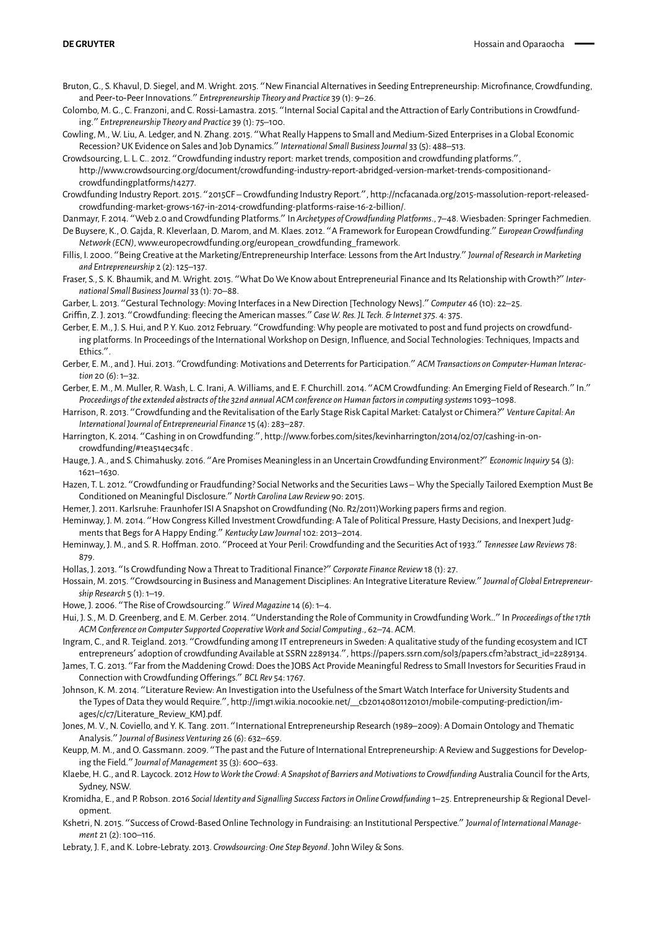- Bruton, G., S. Khavul, D. Siegel, and M. Wright. 2015. "New Financial Alternatives in Seeding Entrepreneurship: Microfinance, Crowdfunding, and Peer‐to‐Peer Innovations." *Entrepreneurship Theory and Practice* 39 (1): 9–26.
- Colombo, M. G., C. Franzoni, and C. Rossi-Lamastra. 2015. "Internal Social Capital and the Attraction of Early Contributions in Crowdfunding." *Entrepreneurship Theory and Practice* 39 (1): 75–100.
- Cowling, M., W. Liu, A. Ledger, and N. Zhang. 2015. "What Really Happens to Small and Medium-Sized Enterprises in a Global Economic Recession? UK Evidence on Sales and Job Dynamics." *International Small BusinessJournal* 33 (5): 488–513.

Crowdsourcing, L. L. C.. 2012. "Crowdfunding industry report: market trends, composition and crowdfunding platforms.", http://www.crowdsourcing.org/document/crowdfunding-industry-report-abridged-version-market-trends-compositionandcrowdfundingplatforms/14277.

Crowdfunding Industry Report. 2015. "2015CF – Crowdfunding Industry Report.", http://ncfacanada.org/2015-massolution-report-releasedcrowdfunding-market-grows-167-in-2014-crowdfunding-platforms-raise-16-2-billion/.

Danmayr, F. 2014. "Web 2.0 and Crowdfunding Platforms." In *Archetypes of Crowdfunding Platforms*., 7–48. Wiesbaden: Springer Fachmedien. De Buysere, K., O. Gajda, R. Kleverlaan, D. Marom, and M. Klaes. 2012. "A Framework for European Crowdfunding." *European Crowdfunding Network (ECN)*, www.europecrowdfunding.org/european\_crowdfunding\_framework.

- Fillis, I. 2000. "Being Creative at the Marketing/Entrepreneurship Interface: Lessons from the Art Industry." *Journal of Research in Marketing and Entrepreneurship* 2 (2): 125–137.
- Fraser, S., S. K. Bhaumik, and M. Wright. 2015. "What Do We Know about Entrepreneurial Finance and Its Relationship with Growth?" *International Small BusinessJournal* 33 (1): 70–88.
- Garber, L. 2013. "Gestural Technology: Moving Interfaces in a New Direction [Technology News]." *Computer* 46 (10): 22–25.

Griffin, Z. J. 2013. "Crowdfunding: fleecing the American masses." *Case W. Res. JL Tech. & Internet 375. 4*: 375.

Gerber, E. M., J. S. Hui, and P. Y. Kuo. 2012 February. "Crowdfunding: Why people are motivated to post and fund projects on crowdfunding platforms. In Proceedings of the International Workshop on Design, Inflluence, and Social Technologies: Techniques, Impacts and Ethics.".

Gerber, E. M., and J. Hui. 2013. "Crowdfunding: Motivations and Deterrents for Participation." *ACM Transactions on Computer-Human Interaction* 20 (6): 1–32.

Gerber, E. M., M. Muller, R. Wash, L. C. Irani, A. Williams, and E. F. Churchill. 2014. "ACM Crowdfunding: An Emerging Field of Research." In." *Proceedings of the extended abstracts of the 32nd annual ACM conference on Human factors in computing systems*1093–1098.

Harrison, R. 2013. "Crowdfunding and the Revitalisation of the Early Stage Risk Capital Market: Catalyst or Chimera?" *Venture Capital: An InternationalJournal of Entrepreneurial Finance*15 (4): 283–287.

Harrington, K. 2014. "Cashing in on Crowdfunding.", http://www.forbes.com/sites/kevinharrington/2014/02/07/cashing-in-oncrowdfunding/#1ea514ec34fc .

Hauge, J. A., and S. Chimahusky. 2016. "Are Promises Meaningless in an Uncertain Crowdfunding Environment?" *Economic Inquiry* 54 (3): 1621–1630.

Hazen, T. L. 2012. "Crowdfunding or Fraudfunding? Social Networks and the Securities Laws – Why the Specially Tailored Exemption Must Be Conditioned on Meaningful Disclosure." *North Carolina Law Review* 90: 2015.

Hemer, J. 2011. Karlsruhe: Fraunhofer ISI A Snapshot on Crowdfunding (No. R2/2011)Working papers firms and region.

Heminway, J. M. 2014. "How Congress Killed Investment Crowdfunding: A Tale of Political Pressure, Hasty Decisions, and Inexpert Judgments that Begs for A Happy Ending." *Kentucky LawJournal*102: 2013–2014.

- Heminway, J. M., and S. R. Hoffman. 2010. "Proceed at Your Peril: Crowdfunding and the Securities Act of 1933." *Tennessee Law Reviews* 78: 879.
- Hollas, J. 2013. "Is Crowdfunding Now a Threat to Traditional Finance?" *Corporate Finance Review* 18 (1): 27.

Hossain, M. 2015. "Crowdsourcing in Business and Management Disciplines: An Integrative Literature Review." *Journal of Global Entrepreneurship Research* 5 (1): 1–19.

Howe, J. 2006. "The Rise of Crowdsourcing." *Wired Magazine*14 (6): 1–4.

Hui, J. S., M. D. Greenberg, and E. M. Gerber. 2014. "Understanding the Role of Community in Crowdfunding Work.." In *Proceedings of the 17th ACM Conference on Computer Supported Cooperative Work and Social Computing*., 62–74. ACM.

Ingram, C., and R. Teigland. 2013. "Crowdfunding among IT entrepreneurs in Sweden: A qualitative study of the funding ecosystem and ICT entrepreneurs' adoption of crowdfunding Available at SSRN 2289134.", https://papers.ssrn.com/sol3/papers.cfm?abstract\_id=2289134.

James, T. G. 2013. "Far from the Maddening Crowd: Does the JOBS Act Provide Meaningful Redress to Small Investors for Securities Fraud in Connection with Crowdfunding Offerings." *BCL Rev* 54: 1767.

Johnson, K. M. 2014. "Literature Review: An Investigation into the Usefulness of the Smart Watch Interface for University Students and the Types of Data they would Require.", http://img1.wikia.nocookie.net/\_cb20140801120101/mobile-computing-prediction/images/c/c7/Literature\_Review\_KMJ.pdf.

Jones, M. V., N. Coviello, and Y. K. Tang. 2011. "International Entrepreneurship Research (1989–2009): A Domain Ontology and Thematic Analysis." *Journal of Business Venturing* 26 (6): 632–659.

Keupp, M. M., and O. Gassmann. 2009. "The past and the Future of International Entrepreneurship: A Review and Suggestions for Developing the Field." *Journal of Management* 35 (3): 600–633.

Klaebe, H. G., and R. Laycock. 2012 *How to Work the Crowd: A Snapshot of Barriers and Motivations to Crowdfunding* Australia Council for the Arts, Sydney, NSW.

Kromidha, E., and P. Robson. 2016 *Social Identity and Signalling Success Factors in Online Crowdfunding* 1–25. Entrepreneurship & Regional Development.

Kshetri, N. 2015. "Success of Crowd-Based Online Technology in Fundraising: an Institutional Perspective." *Journal of International Management* 21 (2): 100–116.

Lebraty, J. F., and K. Lobre-Lebraty. 2013. *Crowdsourcing: One Step Beyond*. John Wiley & Sons.